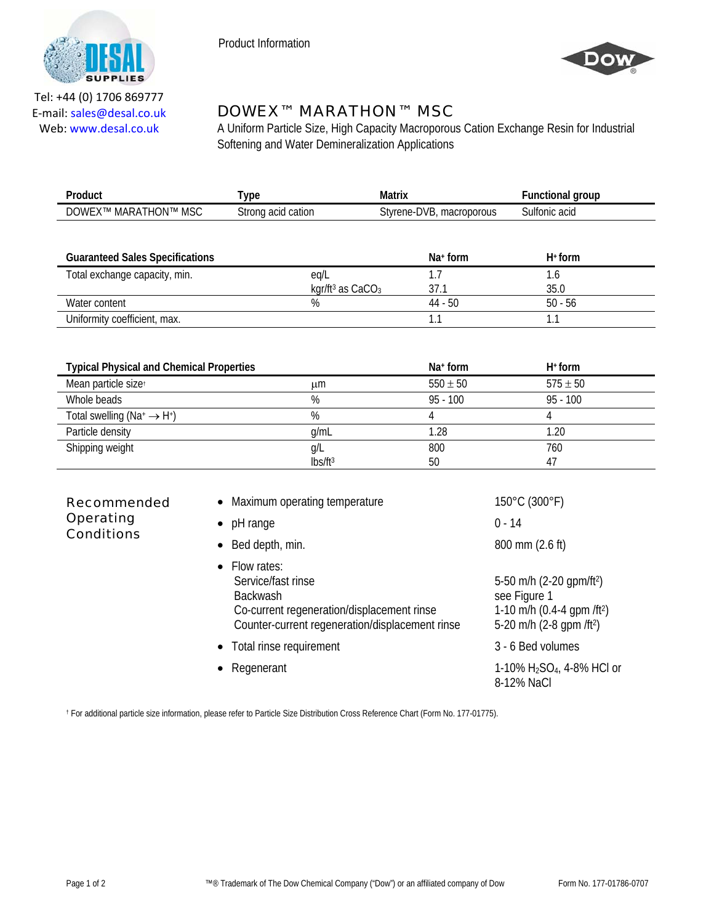

Product Information



Tel: +44 (0) 1706 869777 E‐mail: sales@desal.co.uk Web: www.desal.co.uk

# DOWEX™ MARATHON™ MSC

A Uniform Particle Size, High Capacity Macroporous Cation Exchange Resin for Industrial Softening and Water Demineralization Applications

| Sulfonic acid<br>MSC<br>ገ∩WF X™<br>-dvb.<br>۱ΡΛ<br>∪N™<br>MA'<br>H(<br>styrene-l<br>cation<br>macroporous<br>acıd<br>strona | Product | ype | Matrix | -unctional group |
|-----------------------------------------------------------------------------------------------------------------------------|---------|-----|--------|------------------|
|                                                                                                                             |         |     |        |                  |

| <b>Guaranteed Sales Specifications</b> |                                | $Na+$ form | $H^+$ form |
|----------------------------------------|--------------------------------|------------|------------|
| Total exchange capacity, min.          | eg/L                           |            | 0. ا       |
|                                        | kgr/ft <sup>3</sup> as $CaCO3$ | 37.1       | 35.0       |
| Water content                          | %                              | $44 - 50$  | $50 - 56$  |
| Uniformity coefficient, max.           |                                |            |            |

| <b>Typical Physical and Chemical Properties</b> |                     | $Na+$ form   | $H^*$ form   |
|-------------------------------------------------|---------------------|--------------|--------------|
| Mean particle sizet                             | ար                  | $550 \pm 50$ | $575 \pm 50$ |
| Whole beads                                     | %                   | $95 - 100$   | $95 - 100$   |
| Total swelling (Na+ $\rightarrow$ H+)           | %                   |              |              |
| Particle density                                | g/mL                | 1.28         | 1.20         |
| Shipping weight                                 | g/L                 | 800          | 760          |
|                                                 | Ibs/ft <sup>3</sup> | 50           | 47           |

# Recommended Operating Conditions

| • Maximum operating temperature                                                                                                                                 | 150°C (300°F)                                                                                                                          |  |
|-----------------------------------------------------------------------------------------------------------------------------------------------------------------|----------------------------------------------------------------------------------------------------------------------------------------|--|
| • pH range                                                                                                                                                      | 0 - 14                                                                                                                                 |  |
| $\bullet$ Bed depth, min.                                                                                                                                       | $800 \text{ mm}$ (2.6 ft)                                                                                                              |  |
| $\bullet$ Flow rates:<br>Service/fast rinse<br><b>Backwash</b><br>Co-current regeneration/displacement rinse<br>Counter-current regeneration/displacement rinse | 5-50 m/h (2-20 gpm/ft <sup>2</sup> )<br>see Figure 1<br>1-10 m/h (0.4-4 gpm /ft <sup>2</sup> )<br>5-20 m/h (2-8 gpm /ft <sup>2</sup> ) |  |
| • Total rinse requirement                                                                                                                                       | 3 - 6 Bed volumes                                                                                                                      |  |
| • Regenerant                                                                                                                                                    | 1-10% $H_2SO_4$ , 4-8% HCl or<br>8-12% NaCl                                                                                            |  |

† For additional particle size information, please refer to Particle Size Distribution Cross Reference Chart (Form No. 177-01775).